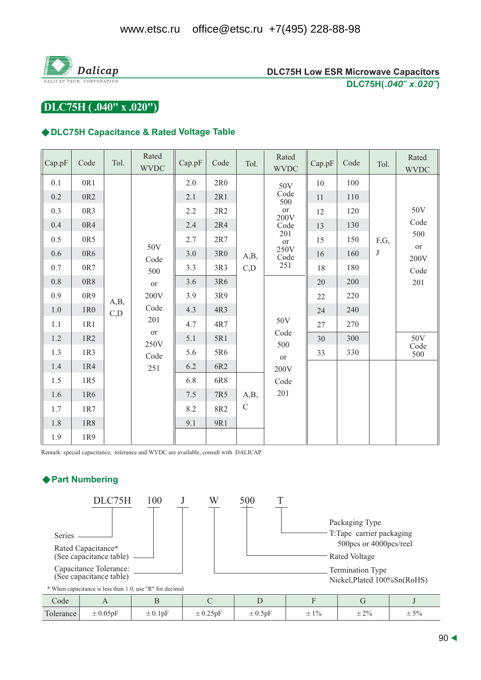

DLC75H (.040" x .020")

#### ◆DLC75H Capacitance & Rated Voltage Table

| Cap.pF  | Code            | Tol. | Rated<br><b>WVDC</b>                                                          | Cap.pF | Code            | Tol.        | Rated<br><b>WVDC</b>                                                                                              | Cap.pF | Code | Tol.    | Rated<br><b>WVDC</b> |
|---------|-----------------|------|-------------------------------------------------------------------------------|--------|-----------------|-------------|-------------------------------------------------------------------------------------------------------------------|--------|------|---------|----------------------|
| 0.1     | 0R1             |      |                                                                               | 2.0    | 2R <sub>0</sub> |             | 50V<br>Code<br>500<br>$\hbox{or}$<br>200V<br>Code<br>201<br>or<br>250V<br>Code<br>251<br>50V<br>Code<br>500<br>or | 10     | 100  |         |                      |
| 0.2     | 0R <sub>2</sub> |      |                                                                               | 2.1    | 2R1             |             |                                                                                                                   | 11     | 110  |         |                      |
| 0.3     | 0R3             |      |                                                                               | 2.2    | 2R2             |             |                                                                                                                   | 12     | 120  |         | 50V                  |
| $0.4\,$ | 0R4             |      |                                                                               | 2.4    | 2R4             |             |                                                                                                                   | 13     | 130  |         | Code                 |
| 0.5     | 0R5             |      |                                                                               | 2.7    | 2R7             |             |                                                                                                                   | 15     | 150  | F,G,    | 500<br>or<br>200V    |
| $0.6\,$ | 0R6             |      | 50V<br>Code                                                                   | 3.0    | 3R0             | A,B,        |                                                                                                                   | 16     | 160  | $\bf J$ |                      |
| 0.7     | 0R7             |      | 500<br>or<br>200V<br>A,B,<br>Code<br>C, D<br>201<br>or<br>250V<br>Code<br>251 | 3.3    | 3R3             | C, D        |                                                                                                                   | 18     | 180  |         | Code                 |
| $0.8\,$ | 0R8             |      |                                                                               | 3.6    | 3R6             |             |                                                                                                                   | 20     | 200  |         | 201                  |
| 0.9     | 0R9             |      |                                                                               | 3.9    | 3R9             |             |                                                                                                                   | 22     | 220  |         |                      |
| $1.0\,$ | 1R <sub>0</sub> |      |                                                                               | 4.3    | 4R3             |             |                                                                                                                   | 24     | 240  |         | 50V                  |
| 1.1     | 1R1             |      |                                                                               | 4.7    | 4R7             |             |                                                                                                                   | 27     | 270  |         |                      |
| $1.2\,$ | 1R2             |      |                                                                               | 5.1    | 5R1             |             |                                                                                                                   | 30     | 300  |         |                      |
| 1.3     | 1R3             |      |                                                                               | 5.6    | 5R6             |             |                                                                                                                   | 33     | 330  |         | Code<br>500          |
| 1.4     | 1R4             |      |                                                                               | 6.2    | 6R2             |             | 200V                                                                                                              |        |      |         |                      |
| $1.5\,$ | 1R5             |      |                                                                               | 6.8    | 6R8             | A,B,        | Code                                                                                                              |        |      |         |                      |
| 1.6     | 1R6             |      |                                                                               | 7.5    | 7R5             |             | 201                                                                                                               |        |      |         |                      |
| 1.7     | 1R7             |      |                                                                               | 8.2    | 8R2             | $\mathbf C$ |                                                                                                                   |        |      |         |                      |
| 1.8     | 1R8             |      |                                                                               | 9.1    | 9R1             |             |                                                                                                                   |        |      |         |                      |
| 1.9     | 1R9             |      |                                                                               |        |                 |             |                                                                                                                   |        |      |         |                      |

Remark: special capacitance, tolerance and WVDC are available, consult with DALICAP.

# ♦ Part Numbering

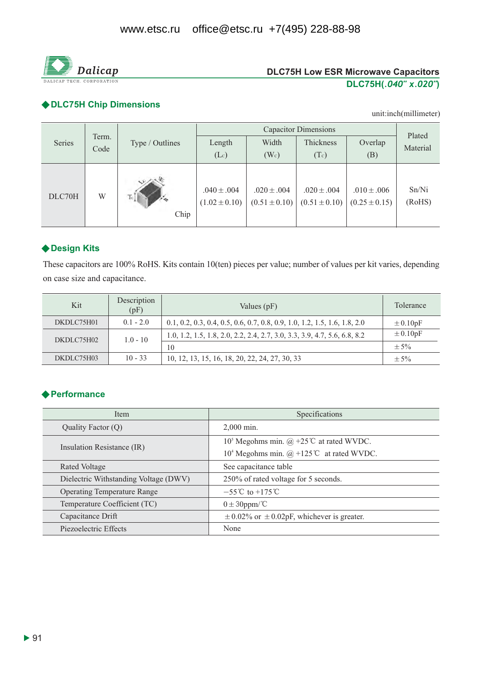

### ◆ DLC75H Chip Dimensions

unit:inch(millimeter)

|        | Term.<br>Code |                 |                                      | Plated                               |                                      |                                      |                 |
|--------|---------------|-----------------|--------------------------------------|--------------------------------------|--------------------------------------|--------------------------------------|-----------------|
| Series |               | Type / Outlines | Length                               | Width                                | Thickness                            | Overlap                              | Material        |
|        |               |                 | (Lc)                                 | (W <sub>c</sub> )                    | (Tc)                                 | (B)                                  |                 |
| DLC70H | W             | Tc<br>Chip      | $.040 \pm .004$<br>$(1.02 \pm 0.10)$ | $.020 \pm .004$<br>$(0.51 \pm 0.10)$ | $.020 \pm .004$<br>$(0.51 \pm 0.10)$ | $.010 \pm .006$<br>$(0.25 \pm 0.15)$ | Sn/Ni<br>(RoHS) |

# ◆ Design Kits

These capacitors are 100% RoHS. Kits contain 10(ten) pieces per value; number of values per kit varies, depending on case size and capacitance.

| Kit        | Description<br>(pF) | Values (pF)                                                                 | Tolerance    |
|------------|---------------------|-----------------------------------------------------------------------------|--------------|
| DKDLC75H01 | $0.1 - 2.0$         | $0.1, 0.2, 0.3, 0.4, 0.5, 0.6, 0.7, 0.8, 0.9, 1.0, 1.2, 1.5, 1.6, 1.8, 2.0$ | $\pm 0.10pF$ |
| DKDLC75H02 | $1.0 - 10$          | 1.0, 1.2, 1.5, 1.8, 2.0, 2.2, 2.4, 2.7, 3.0, 3.3, 3.9, 4.7, 5.6, 6.8, 8.2   | $\pm 0.10pF$ |
|            |                     | 10                                                                          | $\pm$ 5%     |
| DKDLC75H03 | $10 - 33$           | 10, 12, 13, 15, 16, 18, 20, 22, 24, 27, 30, 33                              | $\pm$ 5%     |

# **◆ Performance**

| Item                                  | Specifications                                                                     |  |  |
|---------------------------------------|------------------------------------------------------------------------------------|--|--|
| Quality Factor $(Q)$                  | $2.000$ min.                                                                       |  |  |
|                                       | 10 <sup>5</sup> Megohms min. $\omega$ +25°C at rated WVDC.                         |  |  |
| Insulation Resistance (IR)            | 10 <sup>4</sup> Megohms min. $(\hat{\omega}) + 125^{\circ}\text{C}$ at rated WVDC. |  |  |
| Rated Voltage                         | See capacitance table                                                              |  |  |
| Dielectric Withstanding Voltage (DWV) | 250% of rated voltage for 5 seconds.                                               |  |  |
| <b>Operating Temperature Range</b>    | $-55^{\circ}$ C to $+175^{\circ}$ C                                                |  |  |
| Temperature Coefficient (TC)          | $0 \pm 30$ ppm/°C                                                                  |  |  |
| Capacitance Drift                     | $\pm$ 0.02% or $\pm$ 0.02pF, whichever is greater.                                 |  |  |
| Piezoelectric Effects                 | None                                                                               |  |  |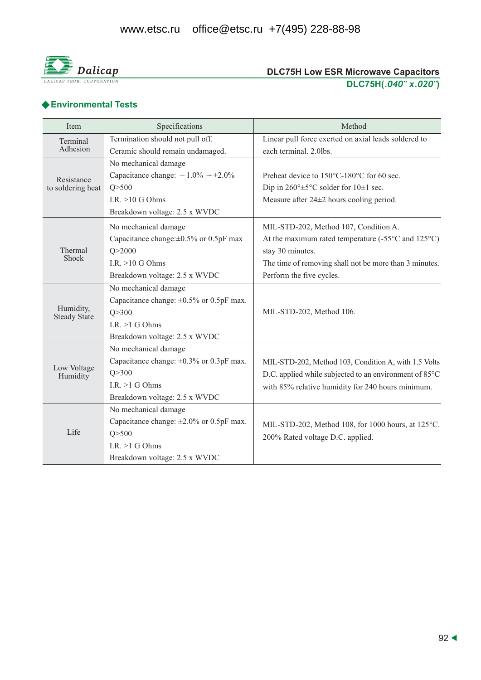

# ◆ Environmental Tests

| Item                             | Specifications                                | Method                                                                                 |  |  |  |
|----------------------------------|-----------------------------------------------|----------------------------------------------------------------------------------------|--|--|--|
| Terminal                         | Termination should not pull off.              | Linear pull force exerted on axial leads soldered to                                   |  |  |  |
| Adhesion                         | Ceramic should remain undamaged.              | each terminal. 2.0lbs.                                                                 |  |  |  |
|                                  | No mechanical damage                          |                                                                                        |  |  |  |
| Resistance                       | Capacitance change: $-1.0\% \sim +2.0\%$      | Preheat device to 150°C-180°C for 60 sec.                                              |  |  |  |
| to soldering heat                | Q > 500                                       | Dip in $260^{\circ} \pm 5^{\circ}$ C solder for $10 \pm 1$ sec.                        |  |  |  |
|                                  | I.R. $>10$ G Ohms                             | Measure after $24\pm 2$ hours cooling period.                                          |  |  |  |
|                                  | Breakdown voltage: 2.5 x WVDC                 |                                                                                        |  |  |  |
|                                  | No mechanical damage                          | MIL-STD-202, Method 107, Condition A.                                                  |  |  |  |
|                                  | Capacitance change: $\pm 0.5\%$ or 0.5pF max  | At the maximum rated temperature $(-55^{\circ}$ C and $125^{\circ}$ C)                 |  |  |  |
| Thermal<br>Shock                 | Q > 2000                                      | stay 30 minutes.                                                                       |  |  |  |
|                                  | I.R. $>10$ G Ohms                             | The time of removing shall not be more than 3 minutes.                                 |  |  |  |
|                                  | Breakdown voltage: 2.5 x WVDC                 | Perform the five cycles.                                                               |  |  |  |
|                                  | No mechanical damage                          |                                                                                        |  |  |  |
|                                  | Capacitance change: $\pm 0.5\%$ or 0.5pF max. | MIL-STD-202, Method 106.                                                               |  |  |  |
| Humidity,<br><b>Steady State</b> | Q > 300                                       |                                                                                        |  |  |  |
|                                  | I.R. $>1$ G Ohms                              |                                                                                        |  |  |  |
|                                  | Breakdown voltage: 2.5 x WVDC                 |                                                                                        |  |  |  |
|                                  | No mechanical damage                          |                                                                                        |  |  |  |
|                                  | Capacitance change: $\pm 0.3\%$ or 0.3pF max. | MIL-STD-202, Method 103, Condition A, with 1.5 Volts                                   |  |  |  |
| Low Voltage<br>Humidity          | O > 300                                       | D.C. applied while subjected to an environment of 85°C                                 |  |  |  |
|                                  | I.R. $>1$ G Ohms                              | with 85% relative humidity for 240 hours minimum.                                      |  |  |  |
|                                  | Breakdown voltage: 2.5 x WVDC                 |                                                                                        |  |  |  |
|                                  | No mechanical damage                          |                                                                                        |  |  |  |
|                                  | Capacitance change: $\pm 2.0\%$ or 0.5pF max. | MIL-STD-202, Method 108, for 1000 hours, at 125°C.<br>200% Rated voltage D.C. applied. |  |  |  |
| Life                             | Q > 500                                       |                                                                                        |  |  |  |
|                                  | I.R. $>1$ G Ohms                              |                                                                                        |  |  |  |
|                                  | Breakdown voltage: 2.5 x WVDC                 |                                                                                        |  |  |  |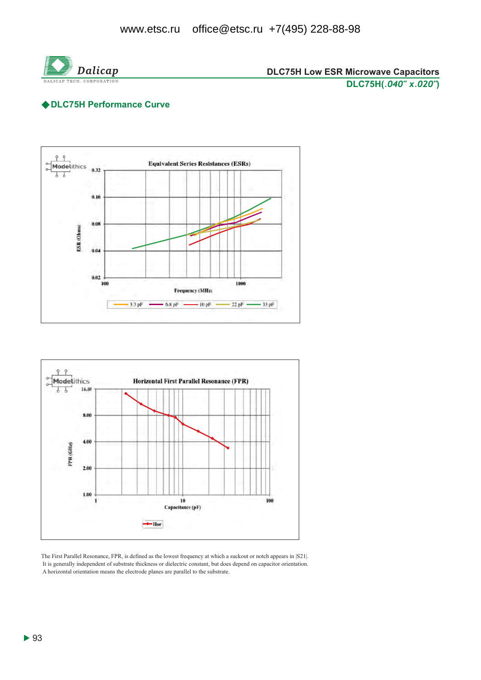

## ◆ DLC75H Performance Curve





The First Parallel Resonance, FPR, is defined as the lowest frequency at which a suckout or notch appears in [S21]. It is generally independent of substrate thickness or dielectric constant, but does depend on capacitor orientation. A horizontal orientation means the electrode planes are parallel to the substrate.